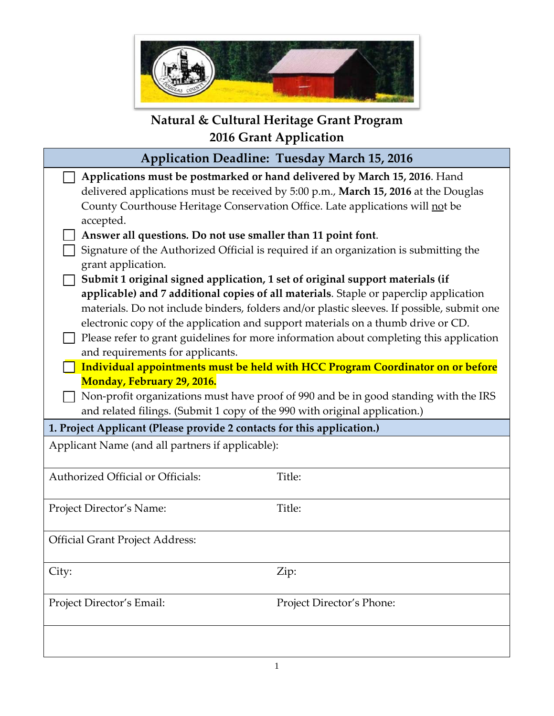

# **Natural & Cultural Heritage Grant Program 2016 Grant Application**

| <b>Application Deadline: Tuesday March 15, 2016</b>                           |                                                                                            |  |  |  |  |
|-------------------------------------------------------------------------------|--------------------------------------------------------------------------------------------|--|--|--|--|
|                                                                               | Applications must be postmarked or hand delivered by March 15, 2016. Hand                  |  |  |  |  |
|                                                                               | delivered applications must be received by 5:00 p.m., March 15, 2016 at the Douglas        |  |  |  |  |
|                                                                               | County Courthouse Heritage Conservation Office. Late applications will not be              |  |  |  |  |
| accepted.                                                                     |                                                                                            |  |  |  |  |
| Answer all questions. Do not use smaller than 11 point font.                  |                                                                                            |  |  |  |  |
|                                                                               | Signature of the Authorized Official is required if an organization is submitting the      |  |  |  |  |
| grant application.                                                            |                                                                                            |  |  |  |  |
| Submit 1 original signed application, 1 set of original support materials (if |                                                                                            |  |  |  |  |
|                                                                               | applicable) and 7 additional copies of all materials. Staple or paperclip application      |  |  |  |  |
|                                                                               | materials. Do not include binders, folders and/or plastic sleeves. If possible, submit one |  |  |  |  |
|                                                                               | electronic copy of the application and support materials on a thumb drive or CD.           |  |  |  |  |
|                                                                               | Please refer to grant guidelines for more information about completing this application    |  |  |  |  |
| and requirements for applicants.                                              |                                                                                            |  |  |  |  |
|                                                                               | Individual appointments must be held with HCC Program Coordinator on or before             |  |  |  |  |
| Monday, February 29, 2016.                                                    |                                                                                            |  |  |  |  |
|                                                                               | Non-profit organizations must have proof of 990 and be in good standing with the IRS       |  |  |  |  |
| and related filings. (Submit 1 copy of the 990 with original application.)    |                                                                                            |  |  |  |  |
| 1. Project Applicant (Please provide 2 contacts for this application.)        |                                                                                            |  |  |  |  |
| Applicant Name (and all partners if applicable):                              |                                                                                            |  |  |  |  |
| Authorized Official or Officials:                                             | Title:                                                                                     |  |  |  |  |
|                                                                               |                                                                                            |  |  |  |  |
| Project Director's Name:                                                      | Title:                                                                                     |  |  |  |  |
| <b>Official Grant Project Address:</b>                                        |                                                                                            |  |  |  |  |
|                                                                               |                                                                                            |  |  |  |  |
| City:                                                                         | Zip:                                                                                       |  |  |  |  |
|                                                                               |                                                                                            |  |  |  |  |
| Project Director's Email:                                                     | Project Director's Phone:                                                                  |  |  |  |  |
|                                                                               |                                                                                            |  |  |  |  |
|                                                                               |                                                                                            |  |  |  |  |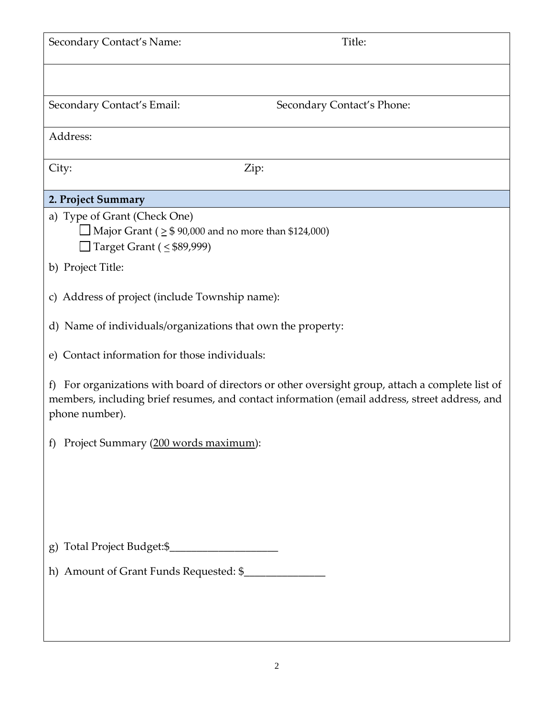| Secondary Contact's Name:                                         | Title:                                                                                                                                                                                         |
|-------------------------------------------------------------------|------------------------------------------------------------------------------------------------------------------------------------------------------------------------------------------------|
|                                                                   |                                                                                                                                                                                                |
| Secondary Contact's Email:                                        | Secondary Contact's Phone:                                                                                                                                                                     |
| Address:                                                          |                                                                                                                                                                                                |
| City:                                                             | Zip:                                                                                                                                                                                           |
| 2. Project Summary                                                |                                                                                                                                                                                                |
| a) Type of Grant (Check One)                                      |                                                                                                                                                                                                |
| $\Box$ Major Grant ( $\geq$ \$ 90,000 and no more than \$124,000) |                                                                                                                                                                                                |
| $\Box$ Target Grant ( $\leq$ \$89,999)                            |                                                                                                                                                                                                |
| b) Project Title:                                                 |                                                                                                                                                                                                |
| c) Address of project (include Township name):                    |                                                                                                                                                                                                |
| d) Name of individuals/organizations that own the property:       |                                                                                                                                                                                                |
| e) Contact information for those individuals:                     |                                                                                                                                                                                                |
| f<br>phone number).                                               | For organizations with board of directors or other oversight group, attach a complete list of<br>members, including brief resumes, and contact information (email address, street address, and |
| Project Summary (200 words maximum):<br>f                         |                                                                                                                                                                                                |
|                                                                   |                                                                                                                                                                                                |
|                                                                   |                                                                                                                                                                                                |
|                                                                   |                                                                                                                                                                                                |
| g) Total Project Budget:\$_                                       |                                                                                                                                                                                                |
|                                                                   |                                                                                                                                                                                                |
|                                                                   |                                                                                                                                                                                                |
|                                                                   |                                                                                                                                                                                                |
|                                                                   |                                                                                                                                                                                                |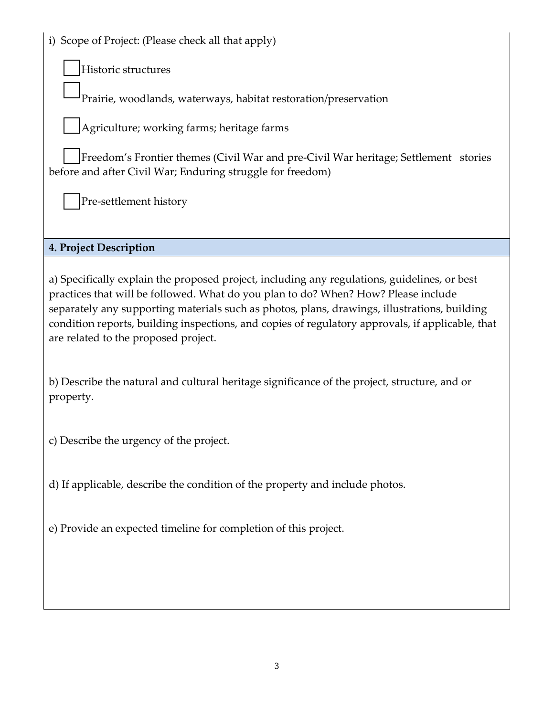|  |  | i) Scope of Project: (Please check all that apply) |  |  |  |  |  |  |
|--|--|----------------------------------------------------|--|--|--|--|--|--|
|--|--|----------------------------------------------------|--|--|--|--|--|--|

Historic structures

Prairie, woodlands, waterways, habitat restoration/preservation

Agriculture; working farms; heritage farms

Freedom's Frontier themes (Civil War and pre-Civil War heritage; Settlement stories before and after Civil War; Enduring struggle for freedom)

Pre-settlement history

## **4. Project Description**

a) Specifically explain the proposed project, including any regulations, guidelines, or best practices that will be followed. What do you plan to do? When? How? Please include separately any supporting materials such as photos, plans, drawings, illustrations, building condition reports, building inspections, and copies of regulatory approvals, if applicable, that are related to the proposed project.

b) Describe the natural and cultural heritage significance of the project, structure, and or property.

c) Describe the urgency of the project.

d) If applicable, describe the condition of the property and include photos.

e) Provide an expected timeline for completion of this project.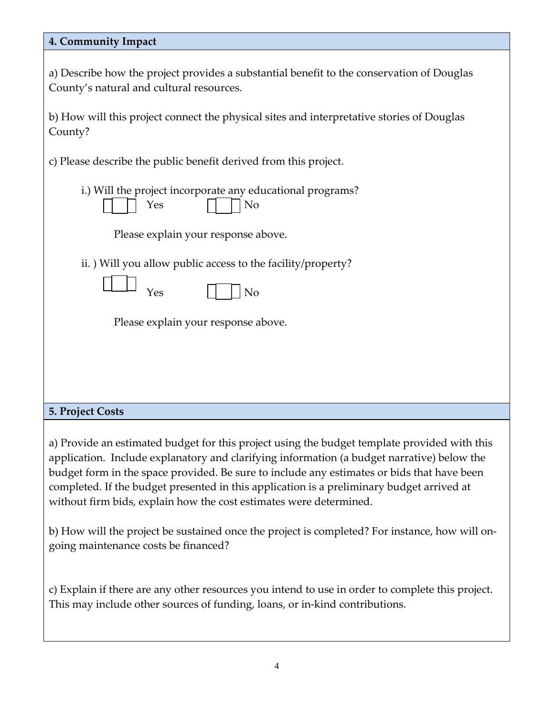| 4. Community Impact                                                                                                                                                                                                                                                                                                                                                                                                                                         |
|-------------------------------------------------------------------------------------------------------------------------------------------------------------------------------------------------------------------------------------------------------------------------------------------------------------------------------------------------------------------------------------------------------------------------------------------------------------|
| a) Describe how the project provides a substantial benefit to the conservation of Douglas<br>County's natural and cultural resources.                                                                                                                                                                                                                                                                                                                       |
| b) How will this project connect the physical sites and interpretative stories of Douglas<br>County?                                                                                                                                                                                                                                                                                                                                                        |
| c) Please describe the public benefit derived from this project.                                                                                                                                                                                                                                                                                                                                                                                            |
| i.) Will the project incorporate any educational programs?<br>N <sub>o</sub><br>Yes                                                                                                                                                                                                                                                                                                                                                                         |
| Please explain your response above.                                                                                                                                                                                                                                                                                                                                                                                                                         |
| ii.) Will you allow public access to the facility/property?<br>No<br>Yes                                                                                                                                                                                                                                                                                                                                                                                    |
| Please explain your response above.                                                                                                                                                                                                                                                                                                                                                                                                                         |
|                                                                                                                                                                                                                                                                                                                                                                                                                                                             |
| <b>5. Project Costs</b>                                                                                                                                                                                                                                                                                                                                                                                                                                     |
| a) Provide an estimated budget for this project using the budget template provided with this<br>application. Include explanatory and clarifying information (a budget narrative) below the<br>budget form in the space provided. Be sure to include any estimates or bids that have been<br>completed. If the budget presented in this application is a preliminary budget arrived at<br>without firm bids, explain how the cost estimates were determined. |
| b) How will the project be sustained once the project is completed? For instance, how will on-<br>going maintenance costs be financed?                                                                                                                                                                                                                                                                                                                      |
| c) Explain if there are any other resources you intend to use in order to complete this project.<br>This may include other sources of funding, loans, or in-kind contributions.                                                                                                                                                                                                                                                                             |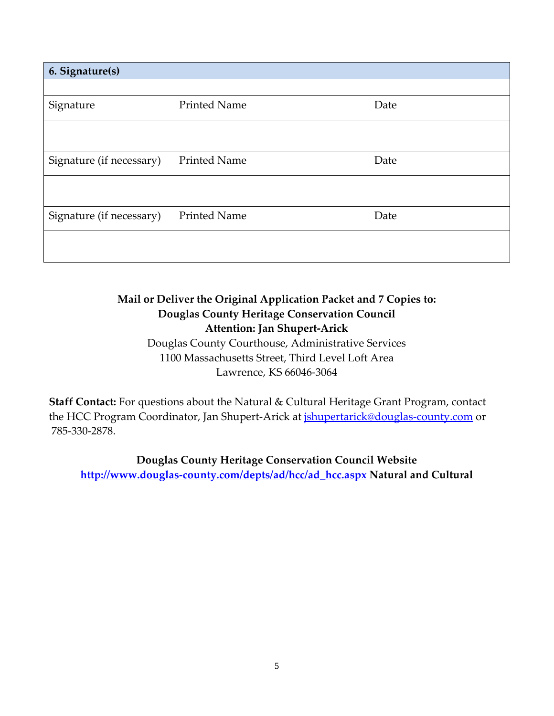| 6. Signature(s)          |                     |      |
|--------------------------|---------------------|------|
|                          |                     |      |
| Signature                | <b>Printed Name</b> | Date |
|                          |                     |      |
| Signature (if necessary) | <b>Printed Name</b> | Date |
|                          |                     |      |
| Signature (if necessary) | <b>Printed Name</b> | Date |
|                          |                     |      |

# **Mail or Deliver the Original Application Packet and 7 Copies to: Douglas County Heritage Conservation Council Attention: Jan Shupert-Arick**

Douglas County Courthouse, Administrative Services 1100 Massachusetts Street, Third Level Loft Area Lawrence, KS 66046-3064

**Staff Contact:** For questions about the Natural & Cultural Heritage Grant Program, contact the HCC Program Coordinator, Jan Shupert-Arick at *ishupertarick@douglas-county.com* or 785-330-2878.

**Douglas County Heritage Conservation Council Website http://www.douglas-county.com/depts/ad/hcc/ad\_hcc.aspx Natural and Cultural**